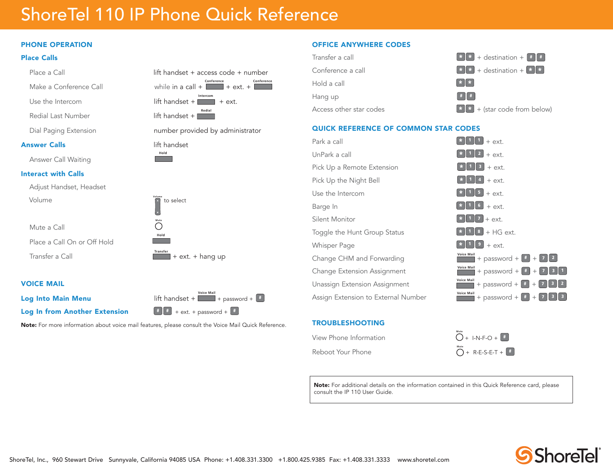# ShoreTel 110 IP Phone Quick Reference

## PHONE OPERATION

#### Place Calls

| Place a Call                | lift handset + access code + number                           |
|-----------------------------|---------------------------------------------------------------|
| Make a Conference Call      | Conference<br>Conference<br>while in a call $+$ $ +$ ext. $+$ |
| Use the Intercom            | Intercom<br>$lift$ handset +<br>$+$ ext.                      |
| Redial Last Number          | Redial<br>$lift$ handset +                                    |
| Dial Paging Extension       | number provided by administrator                              |
| <b>Answer Calls</b>         | lift handset                                                  |
| Answer Call Waiting         | Hold                                                          |
| <b>Interact with Calls</b>  |                                                               |
| Adjust Handset, Headset     |                                                               |
| Volume                      | Volume<br>to select                                           |
| Mute a Call                 | Mute                                                          |
| Place a Call On or Off Hold | Hold                                                          |
| Transfer a Call             | <b>Transfer</b><br>+ ext. + hang up                           |
|                             |                                                               |

#### VOICE MAIL

Log Into Main Menu **Log In from Another Extension**  $\begin{bmatrix} \textbf{H} \\ \textbf{H} \end{bmatrix}$  + ext. + password +  $\begin{bmatrix} \textbf{H} \\ \textbf{H} \end{bmatrix}$ 

**Voice Mail** $+$  password  $+$   $*$ 

Note: For more information about voice mail features, please consult the Voice Mail Quick Reference.





QUICK REFERENCE OF COMMON STAR CODES

#### Park a call **\*** $\begin{bmatrix} \ast & 1 & 1 \end{bmatrix}$  + ext. UnPark a call **\*** $\begin{bmatrix} \ast & 1 & 2 \end{bmatrix}$  + ext. Pick Up a Remote Extension **\* <sup>1</sup> <sup>3</sup>** + ext. Pick Up the Night Bell  $*$  **1**  $\left[ 1 \right]$  + ext. Use the Intercom **\*** $\begin{bmatrix} \star & 1 & 5 \end{bmatrix}$  + ext. Barge  $\ln$  **\***  $\left| \frac{1}{6} \right|$  + ext. Silent Monitor **\*** $\mathbf{1} \mathbf{1} \mathbf{7}$  + ext. Toggle the Hunt Group Status **\* <sup>1</sup> <sup>8</sup>** + HG ext. Whisper Page **\* <sup>1</sup> <sup>9</sup>** + ext. Change CHM and Forwarding **Voice** Mail + password + **#** + **7 2** Change Extension Assignment  $\overline{\phantom{a}}$  **Voice Mail** + password +  $\overline{\phantom{a}}$  + **7 3 1** Unassign Extension Assignment **Voice Mail** + password + **#** <sup>+</sup>**<sup>7</sup> <sup>3</sup> <sup>2</sup>** Assign Extension to External Number **Voice Mail** + password +  $\begin{bmatrix} # \end{bmatrix}$  +  $\begin{bmatrix} 3 & 3 \end{bmatrix}$

### TROUBLESHOOTING

View Phone Information

Reboot Your Phone

**Mute** + I-N-F-O + **# Mute** + R-E-S-E-T + **#**

Note: For additional details on the information contained in this Quick Reference card, please consult the IP 110 User Guide.